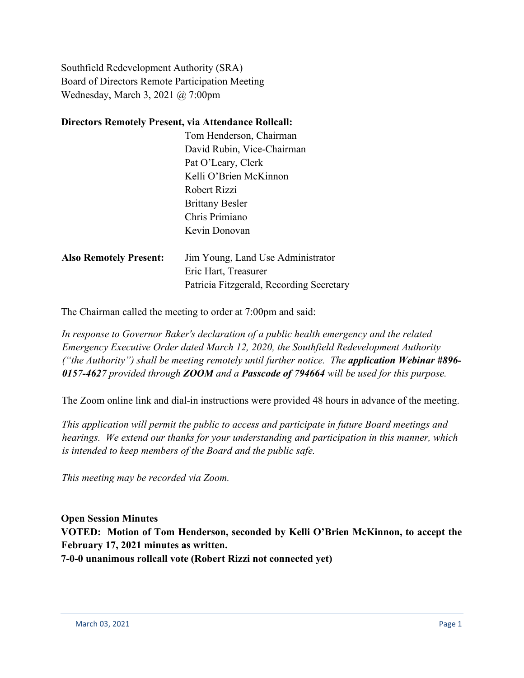Southfield Redevelopment Authority (SRA) Board of Directors Remote Participation Meeting Wednesday, March 3, 2021 @ 7:00pm

## **Directors Remotely Present, via Attendance Rollcall:**

|                               | Tom Henderson, Chairman                  |
|-------------------------------|------------------------------------------|
|                               | David Rubin, Vice-Chairman               |
|                               | Pat O'Leary, Clerk                       |
|                               | Kelli O'Brien McKinnon                   |
|                               | Robert Rizzi                             |
|                               | <b>Brittany Besler</b>                   |
|                               | Chris Primiano                           |
|                               | Kevin Donovan                            |
|                               |                                          |
| <b>Also Remotely Present:</b> | Jim Young, Land Use Administrator        |
|                               | Eric Hart, Treasurer                     |
|                               | Patricia Fitzgerald, Recording Secretary |

The Chairman called the meeting to order at 7:00pm and said:

*In response to Governor Baker's declaration of a public health emergency and the related Emergency Executive Order dated March 12, 2020, the Southfield Redevelopment Authority ("the Authority") shall be meeting remotely until further notice. The application Webinar #896- 0157-4627 provided through ZOOM and a Passcode of 794664 will be used for this purpose.*

The Zoom online link and dial-in instructions were provided 48 hours in advance of the meeting.

*This application will permit the public to access and participate in future Board meetings and hearings. We extend our thanks for your understanding and participation in this manner, which is intended to keep members of the Board and the public safe.*

*This meeting may be recorded via Zoom.*

**Open Session Minutes VOTED: Motion of Tom Henderson, seconded by Kelli O'Brien McKinnon, to accept the February 17, 2021 minutes as written. 7-0-0 unanimous rollcall vote (Robert Rizzi not connected yet)**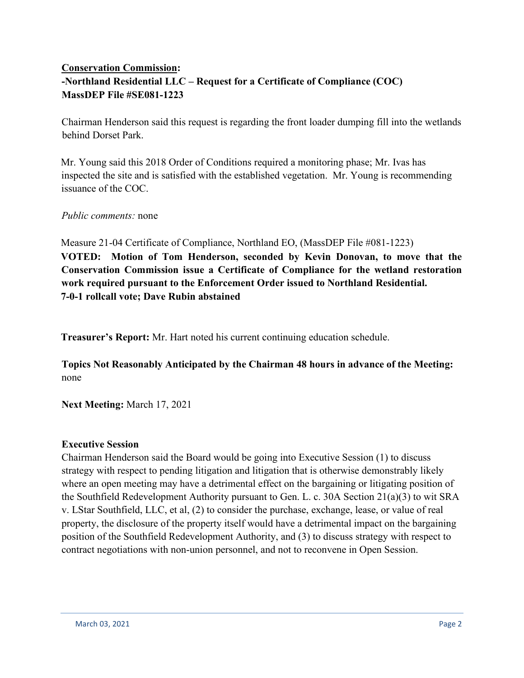## **Conservation Commission: -Northland Residential LLC – Request for a Certificate of Compliance (COC) MassDEP File #SE081-1223**

Chairman Henderson said this request is regarding the front loader dumping fill into the wetlands behind Dorset Park.

Mr. Young said this 2018 Order of Conditions required a monitoring phase; Mr. Ivas has inspected the site and is satisfied with the established vegetation. Mr. Young is recommending issuance of the COC.

*Public comments:* none

Measure 21-04 Certificate of Compliance, Northland EO, (MassDEP File #081-1223) **VOTED: Motion of Tom Henderson, seconded by Kevin Donovan, to move that the Conservation Commission issue a Certificate of Compliance for the wetland restoration work required pursuant to the Enforcement Order issued to Northland Residential. 7-0-1 rollcall vote; Dave Rubin abstained**

**Treasurer's Report:** Mr. Hart noted his current continuing education schedule.

**Topics Not Reasonably Anticipated by the Chairman 48 hours in advance of the Meeting:** none

**Next Meeting:** March 17, 2021

## **Executive Session**

Chairman Henderson said the Board would be going into Executive Session (1) to discuss strategy with respect to pending litigation and litigation that is otherwise demonstrably likely where an open meeting may have a detrimental effect on the bargaining or litigating position of the Southfield Redevelopment Authority pursuant to Gen. L. c. 30A Section 21(a)(3) to wit SRA v. LStar Southfield, LLC, et al, (2) to consider the purchase, exchange, lease, or value of real property, the disclosure of the property itself would have a detrimental impact on the bargaining position of the Southfield Redevelopment Authority, and (3) to discuss strategy with respect to contract negotiations with non-union personnel, and not to reconvene in Open Session.